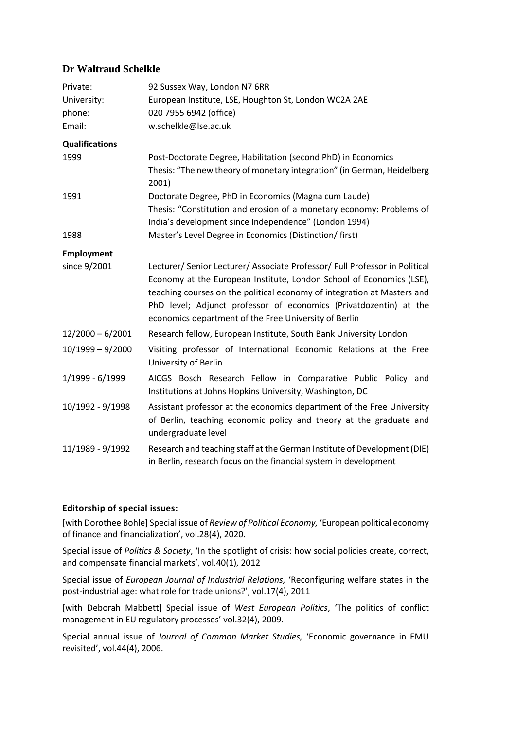# **Dr Waltraud Schelkle**

| Private:<br>University:<br>phone:<br>Email: | 92 Sussex Way, London N7 6RR<br>European Institute, LSE, Houghton St, London WC2A 2AE<br>020 7955 6942 (office)<br>w.schelkle@lse.ac.uk                                                                                                                                                                                                                      |
|---------------------------------------------|--------------------------------------------------------------------------------------------------------------------------------------------------------------------------------------------------------------------------------------------------------------------------------------------------------------------------------------------------------------|
| <b>Qualifications</b>                       |                                                                                                                                                                                                                                                                                                                                                              |
| 1999                                        | Post-Doctorate Degree, Habilitation (second PhD) in Economics<br>Thesis: "The new theory of monetary integration" (in German, Heidelberg<br>2001)                                                                                                                                                                                                            |
| 1991                                        | Doctorate Degree, PhD in Economics (Magna cum Laude)<br>Thesis: "Constitution and erosion of a monetary economy: Problems of<br>India's development since Independence" (London 1994)                                                                                                                                                                        |
| 1988                                        | Master's Level Degree in Economics (Distinction/ first)                                                                                                                                                                                                                                                                                                      |
| <b>Employment</b>                           |                                                                                                                                                                                                                                                                                                                                                              |
| since 9/2001                                | Lecturer/ Senior Lecturer/ Associate Professor/ Full Professor in Political<br>Economy at the European Institute, London School of Economics (LSE),<br>teaching courses on the political economy of integration at Masters and<br>PhD level; Adjunct professor of economics (Privatdozentin) at the<br>economics department of the Free University of Berlin |
| $12/2000 - 6/2001$                          | Research fellow, European Institute, South Bank University London                                                                                                                                                                                                                                                                                            |
| $10/1999 - 9/2000$                          | Visiting professor of International Economic Relations at the Free<br>University of Berlin                                                                                                                                                                                                                                                                   |
| 1/1999 - 6/1999                             | AICGS Bosch Research Fellow in Comparative Public Policy and<br>Institutions at Johns Hopkins University, Washington, DC                                                                                                                                                                                                                                     |
| 10/1992 - 9/1998                            | Assistant professor at the economics department of the Free University<br>of Berlin, teaching economic policy and theory at the graduate and<br>undergraduate level                                                                                                                                                                                          |
| 11/1989 - 9/1992                            | Research and teaching staff at the German Institute of Development (DIE)<br>in Berlin, research focus on the financial system in development                                                                                                                                                                                                                 |

## **Editorship of special issues:**

[with Dorothee Bohle] Special issue of *Review of Political Economy,* 'European political economy of finance and financialization', vol.28(4), 2020.

Special issue of *Politics & Society*, 'In the spotlight of crisis: how social policies create, correct, and compensate financial markets', vol.40(1), 2012

Special issue of *European Journal of Industrial Relations,* 'Reconfiguring welfare states in the post-industrial age: what role for trade unions?', vol.17(4), 2011

[with Deborah Mabbett] Special issue of *West European Politics*, 'The politics of conflict management in EU regulatory processes' vol.32(4), 2009.

Special annual issue of *Journal of Common Market Studies,* 'Economic governance in EMU revisited', vol.44(4), 2006.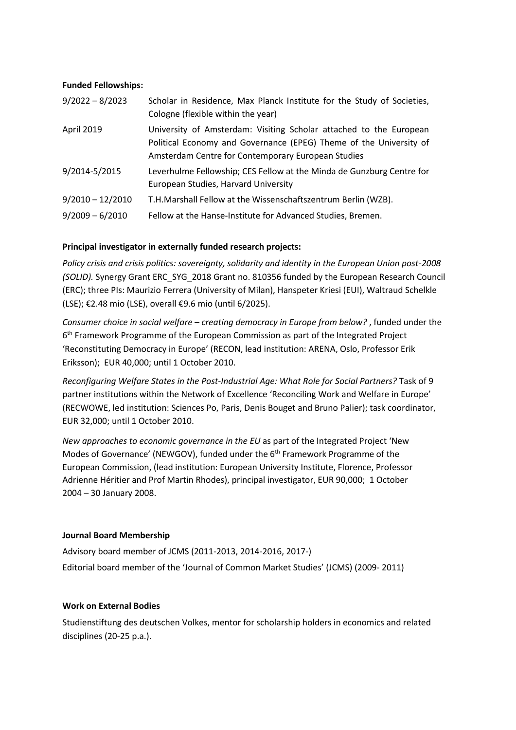### **Funded Fellowships:**

| $9/2022 - 8/2023$  | Scholar in Residence, Max Planck Institute for the Study of Societies,<br>Cologne (flexible within the year)                                                                                   |
|--------------------|------------------------------------------------------------------------------------------------------------------------------------------------------------------------------------------------|
| <b>April 2019</b>  | University of Amsterdam: Visiting Scholar attached to the European<br>Political Economy and Governance (EPEG) Theme of the University of<br>Amsterdam Centre for Contemporary European Studies |
| 9/2014-5/2015      | Leverhulme Fellowship; CES Fellow at the Minda de Gunzburg Centre for<br>European Studies, Harvard University                                                                                  |
| $9/2010 - 12/2010$ | T.H.Marshall Fellow at the Wissenschaftszentrum Berlin (WZB).                                                                                                                                  |
| $9/2009 - 6/2010$  | Fellow at the Hanse-Institute for Advanced Studies, Bremen.                                                                                                                                    |

## **Principal investigator in externally funded research projects:**

*Policy crisis and crisis politics: sovereignty, solidarity and identity in the European Union post-2008 (SOLID).* Synergy Grant ERC\_SYG\_2018 Grant no. 810356 funded by the European Research Council (ERC); three PIs: Maurizio Ferrera (University of Milan), Hanspeter Kriesi (EUI), Waltraud Schelkle (LSE); €2.48 mio (LSE), overall €9.6 mio (until 6/2025).

*Consumer choice in social welfare – creating democracy in Europe from below?* , funded under the 6<sup>th</sup> Framework Programme of the European Commission as part of the Integrated Project 'Reconstituting Democracy in Europe' (RECON, lead institution: ARENA, Oslo, Professor Erik Eriksson); EUR 40,000; until 1 October 2010.

*Reconfiguring Welfare States in the Post-Industrial Age: What Role for Social Partners?* Task of 9 partner institutions within the Network of Excellence 'Reconciling Work and Welfare in Europe' (RECWOWE, led institution: Sciences Po, Paris, Denis Bouget and Bruno Palier); task coordinator, EUR 32,000; until 1 October 2010.

*New approaches to economic governance in the EU* as part of the Integrated Project 'New Modes of Governance' (NEWGOV), funded under the 6<sup>th</sup> Framework Programme of the European Commission, (lead institution: European University Institute, Florence, Professor Adrienne Héritier and Prof Martin Rhodes), principal investigator, EUR 90,000; 1 October 2004 – 30 January 2008.

## **Journal Board Membership**

Advisory board member of JCMS (2011-2013, 2014-2016, 2017-) Editorial board member of the 'Journal of Common Market Studies' (JCMS) (2009- 2011)

## **Work on External Bodies**

Studienstiftung des deutschen Volkes, mentor for scholarship holders in economics and related disciplines (20-25 p.a.).